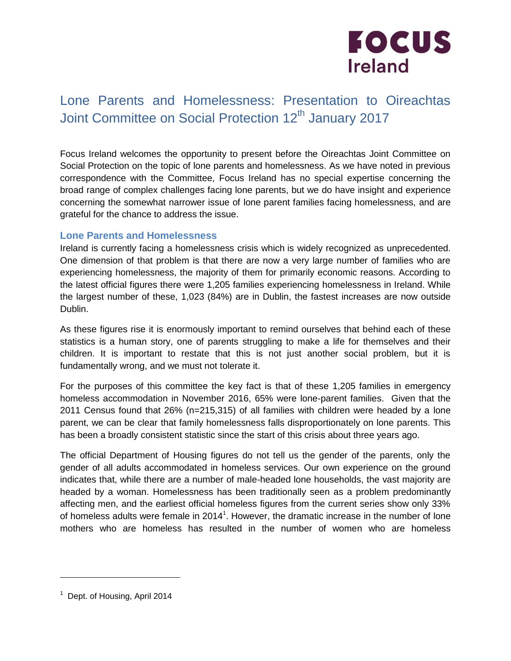

# Lone Parents and Homelessness: Presentation to Oireachtas Joint Committee on Social Protection 12<sup>th</sup> January 2017

Focus Ireland welcomes the opportunity to present before the Oireachtas Joint Committee on Social Protection on the topic of lone parents and homelessness. As we have noted in previous correspondence with the Committee, Focus Ireland has no special expertise concerning the broad range of complex challenges facing lone parents, but we do have insight and experience concerning the somewhat narrower issue of lone parent families facing homelessness, and are grateful for the chance to address the issue.

### **Lone Parents and Homelessness**

Ireland is currently facing a homelessness crisis which is widely recognized as unprecedented. One dimension of that problem is that there are now a very large number of families who are experiencing homelessness, the majority of them for primarily economic reasons. According to the latest official figures there were 1,205 families experiencing homelessness in Ireland. While the largest number of these, 1,023 (84%) are in Dublin, the fastest increases are now outside Dublin.

As these figures rise it is enormously important to remind ourselves that behind each of these statistics is a human story, one of parents struggling to make a life for themselves and their children. It is important to restate that this is not just another social problem, but it is fundamentally wrong, and we must not tolerate it.

For the purposes of this committee the key fact is that of these 1,205 families in emergency homeless accommodation in November 2016, 65% were lone-parent families. Given that the 2011 Census found that 26% (n=215,315) of all families with children were headed by a lone parent, we can be clear that family homelessness falls disproportionately on lone parents. This has been a broadly consistent statistic since the start of this crisis about three years ago.

The official Department of Housing figures do not tell us the gender of the parents, only the gender of all adults accommodated in homeless services. Our own experience on the ground indicates that, while there are a number of male-headed lone households, the vast majority are headed by a woman. Homelessness has been traditionally seen as a problem predominantly affecting men, and the earliest official homeless figures from the current series show only 33% of homeless adults were female in 2014<sup>1</sup>. However, the dramatic increase in the number of lone mothers who are homeless has resulted in the number of women who are homeless

 $\overline{a}$ 

<sup>&</sup>lt;sup>1</sup> Dept. of Housing, April 2014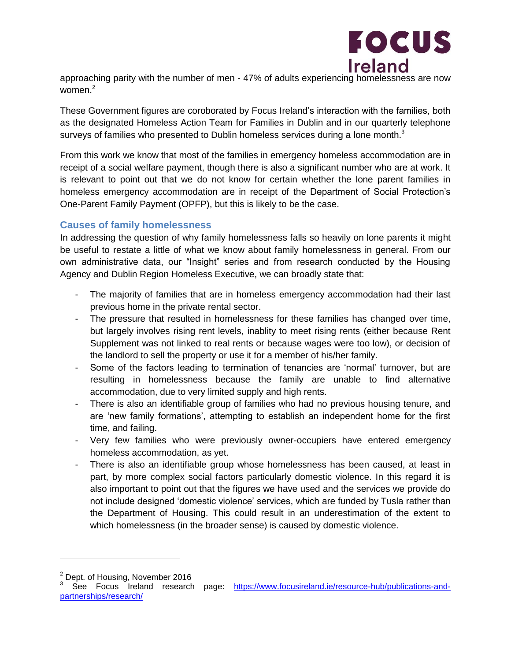

approaching parity with the number of men - 47% of adults experiencing homelessness are now women. 2

These Government figures are coroborated by Focus Ireland's interaction with the families, both as the designated Homeless Action Team for Families in Dublin and in our quarterly telephone surveys of families who presented to Dublin homeless services during a lone month. $3$ 

From this work we know that most of the families in emergency homeless accommodation are in receipt of a social welfare payment, though there is also a significant number who are at work. It is relevant to point out that we do not know for certain whether the lone parent families in homeless emergency accommodation are in receipt of the Department of Social Protection's One-Parent Family Payment (OPFP), but this is likely to be the case.

# **Causes of family homelessness**

In addressing the question of why family homelessness falls so heavily on lone parents it might be useful to restate a little of what we know about family homelessness in general. From our own administrative data, our "Insight" series and from research conducted by the Housing Agency and Dublin Region Homeless Executive, we can broadly state that:

- The majority of families that are in homeless emergency accommodation had their last previous home in the private rental sector.
- The pressure that resulted in homelessness for these families has changed over time, but largely involves rising rent levels, inablity to meet rising rents (either because Rent Supplement was not linked to real rents or because wages were too low), or decision of the landlord to sell the property or use it for a member of his/her family.
- Some of the factors leading to termination of tenancies are 'normal' turnover, but are resulting in homelessness because the family are unable to find alternative accommodation, due to very limited supply and high rents.
- There is also an identifiable group of families who had no previous housing tenure, and are 'new family formations', attempting to establish an independent home for the first time, and failing.
- Very few families who were previously owner-occupiers have entered emergency homeless accommodation, as yet.
- There is also an identifiable group whose homelessness has been caused, at least in part, by more complex social factors particularly domestic violence. In this regard it is also important to point out that the figures we have used and the services we provide do not include designed 'domestic violence' services, which are funded by Tusla rather than the Department of Housing. This could result in an underestimation of the extent to which homelessness (in the broader sense) is caused by domestic violence.

 $\frac{2}{3}$  Dept. of Housing, November 2016

See Focus Ireland research page: [https://www.focusireland.ie/resource-hub/publications-and](https://www.focusireland.ie/resource-hub/publications-and-partnerships/research/)[partnerships/research/](https://www.focusireland.ie/resource-hub/publications-and-partnerships/research/)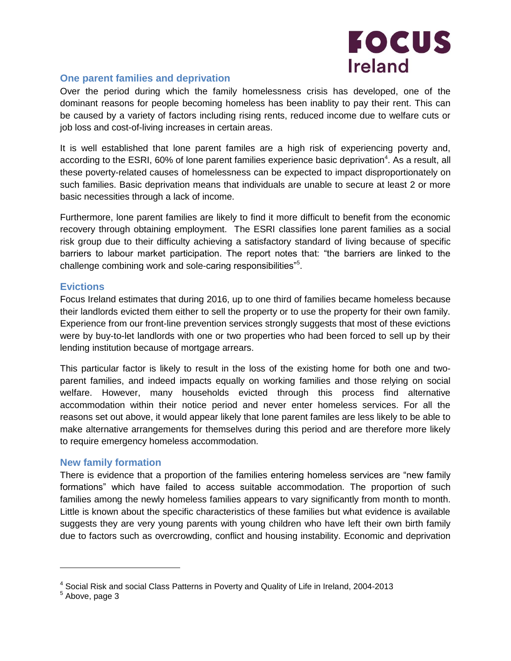

## **One parent families and deprivation**

Over the period during which the family homelessness crisis has developed, one of the dominant reasons for people becoming homeless has been inablity to pay their rent. This can be caused by a variety of factors including rising rents, reduced income due to welfare cuts or job loss and cost-of-living increases in certain areas.

It is well established that lone parent familes are a high risk of experiencing poverty and, according to the ESRI, 60% of lone parent families experience basic deprivation<sup>4</sup>. As a result, all these poverty-related causes of homelessness can be expected to impact disproportionately on such families. Basic deprivation means that individuals are unable to secure at least 2 or more basic necessities through a lack of income.

Furthermore, lone parent families are likely to find it more difficult to benefit from the economic recovery through obtaining employment. The ESRI classifies lone parent families as a social risk group due to their difficulty achieving a satisfactory standard of living because of specific barriers to labour market participation. The report notes that: "the barriers are linked to the challenge combining work and sole-caring responsibilities"<sup>5</sup>.

### **Evictions**

Focus Ireland estimates that during 2016, up to one third of families became homeless because their landlords evicted them either to sell the property or to use the property for their own family. Experience from our front-line prevention services strongly suggests that most of these evictions were by buy-to-let landlords with one or two properties who had been forced to sell up by their lending institution because of mortgage arrears.

This particular factor is likely to result in the loss of the existing home for both one and twoparent families, and indeed impacts equally on working families and those relying on social welfare. However, many households evicted through this process find alternative accommodation within their notice period and never enter homeless services. For all the reasons set out above, it would appear likely that lone parent familes are less likely to be able to make alternative arrangements for themselves during this period and are therefore more likely to require emergency homeless accommodation.

#### **New family formation**

There is evidence that a proportion of the families entering homeless services are "new family formations" which have failed to access suitable accommodation. The proportion of such families among the newly homeless families appears to vary significantly from month to month. Little is known about the specific characteristics of these families but what evidence is available suggests they are very young parents with young children who have left their own birth family due to factors such as overcrowding, conflict and housing instability. Economic and deprivation

 $\overline{a}$ 

<sup>&</sup>lt;sup>4</sup> Social Risk and social Class Patterns in Poverty and Quality of Life in Ireland, 2004-2013<br><sup>5</sup> Above, page 3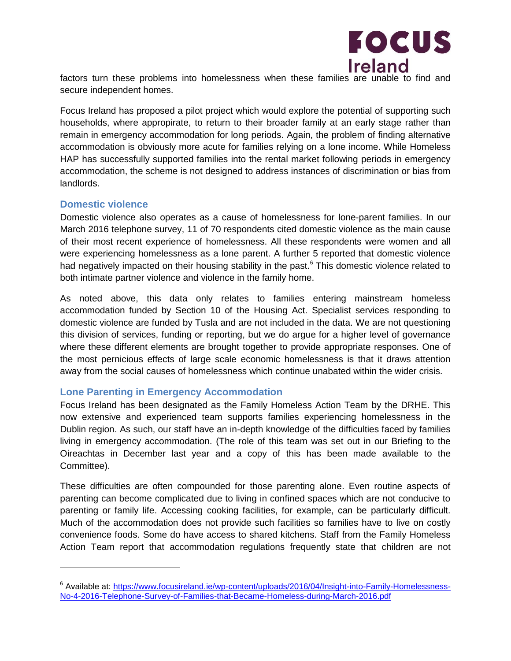

factors turn these problems into homelessness when these families are unable to find and secure independent homes.

Focus Ireland has proposed a pilot project which would explore the potential of supporting such households, where appropirate, to return to their broader family at an early stage rather than remain in emergency accommodation for long periods. Again, the problem of finding alternative accommodation is obviously more acute for families relying on a lone income. While Homeless HAP has successfully supported families into the rental market following periods in emergency accommodation, the scheme is not designed to address instances of discrimination or bias from landlords.

### **Domestic violence**

 $\overline{a}$ 

Domestic violence also operates as a cause of homelessness for lone-parent families. In our March 2016 telephone survey, 11 of 70 respondents cited domestic violence as the main cause of their most recent experience of homelessness. All these respondents were women and all were experiencing homelessness as a lone parent. A further 5 reported that domestic violence had negatively impacted on their housing stability in the past.<sup>6</sup> This domestic violence related to both intimate partner violence and violence in the family home.

As noted above, this data only relates to families entering mainstream homeless accommodation funded by Section 10 of the Housing Act. Specialist services responding to domestic violence are funded by Tusla and are not included in the data. We are not questioning this division of services, funding or reporting, but we do argue for a higher level of governance where these different elements are brought together to provide appropriate responses. One of the most pernicious effects of large scale economic homelessness is that it draws attention away from the social causes of homelessness which continue unabated within the wider crisis.

# **Lone Parenting in Emergency Accommodation**

Focus Ireland has been designated as the Family Homeless Action Team by the DRHE. This now extensive and experienced team supports families experiencing homelessness in the Dublin region. As such, our staff have an in-depth knowledge of the difficulties faced by families living in emergency accommodation. (The role of this team was set out in our Briefing to the Oireachtas in December last year and a copy of this has been made available to the Committee).

These difficulties are often compounded for those parenting alone. Even routine aspects of parenting can become complicated due to living in confined spaces which are not conducive to parenting or family life. Accessing cooking facilities, for example, can be particularly difficult. Much of the accommodation does not provide such facilities so families have to live on costly convenience foods. Some do have access to shared kitchens. Staff from the Family Homeless Action Team report that accommodation regulations frequently state that children are not

<sup>&</sup>lt;sup>6</sup> Available at: [https://www.focusireland.ie/wp-content/uploads/2016/04/Insight-into-Family-Homelessness-](https://www.focusireland.ie/wp-content/uploads/2016/04/Insight-into-Family-Homelessness-No-4-2016-Telephone-Survey-of-Families-that-Became-Homeless-during-March-2016.pdf)[No-4-2016-Telephone-Survey-of-Families-that-Became-Homeless-during-March-2016.pdf](https://www.focusireland.ie/wp-content/uploads/2016/04/Insight-into-Family-Homelessness-No-4-2016-Telephone-Survey-of-Families-that-Became-Homeless-during-March-2016.pdf)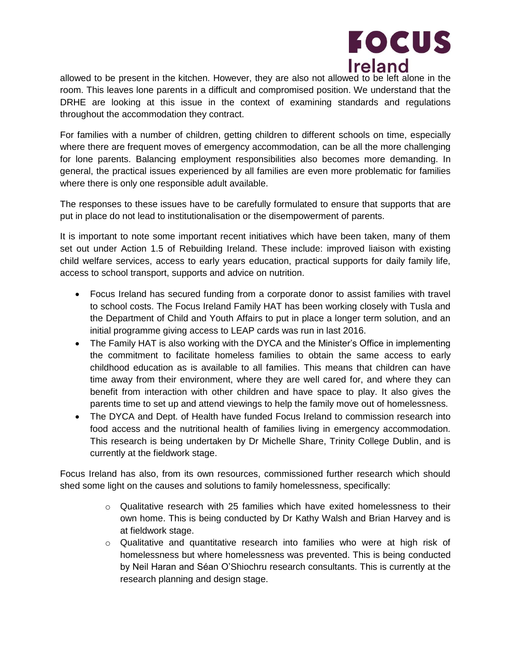

allowed to be present in the kitchen. However, they are also not allowed to be left alone in the room. This leaves lone parents in a difficult and compromised position. We understand that the DRHE are looking at this issue in the context of examining standards and regulations throughout the accommodation they contract.

For families with a number of children, getting children to different schools on time, especially where there are frequent moves of emergency accommodation, can be all the more challenging for lone parents. Balancing employment responsibilities also becomes more demanding. In general, the practical issues experienced by all families are even more problematic for families where there is only one responsible adult available.

The responses to these issues have to be carefully formulated to ensure that supports that are put in place do not lead to institutionalisation or the disempowerment of parents.

It is important to note some important recent initiatives which have been taken, many of them set out under Action 1.5 of Rebuilding Ireland. These include: improved liaison with existing child welfare services, access to early years education, practical supports for daily family life, access to school transport, supports and advice on nutrition.

- Focus Ireland has secured funding from a corporate donor to assist families with travel to school costs. The Focus Ireland Family HAT has been working closely with Tusla and the Department of Child and Youth Affairs to put in place a longer term solution, and an initial programme giving access to LEAP cards was run in last 2016.
- The Family HAT is also working with the DYCA and the Minister's Office in implementing the commitment to facilitate homeless families to obtain the same access to early childhood education as is available to all families. This means that children can have time away from their environment, where they are well cared for, and where they can benefit from interaction with other children and have space to play. It also gives the parents time to set up and attend viewings to help the family move out of homelessness.
- The DYCA and Dept. of Health have funded Focus Ireland to commission research into food access and the nutritional health of families living in emergency accommodation. This research is being undertaken by Dr Michelle Share, Trinity College Dublin, and is currently at the fieldwork stage.

Focus Ireland has also, from its own resources, commissioned further research which should shed some light on the causes and solutions to family homelessness, specifically:

- $\circ$  Qualitative research with 25 families which have exited homelessness to their own home. This is being conducted by Dr Kathy Walsh and Brian Harvey and is at fieldwork stage.
- $\circ$  Qualitative and quantitative research into families who were at high risk of homelessness but where homelessness was prevented. This is being conducted by Neil Haran and Séan O'Shiochru research consultants. This is currently at the research planning and design stage.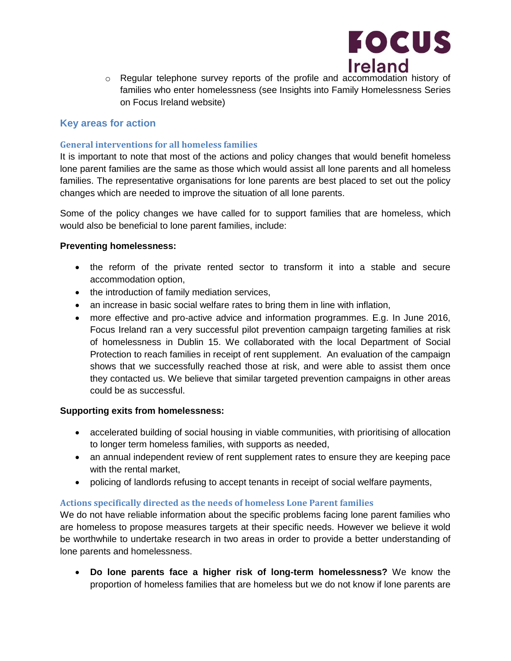

o Regular telephone survey reports of the profile and accommodation history of families who enter homelessness (see Insights into Family Homelessness Series on Focus Ireland website)

# **Key areas for action**

#### **General interventions for all homeless families**

It is important to note that most of the actions and policy changes that would benefit homeless lone parent families are the same as those which would assist all lone parents and all homeless families. The representative organisations for lone parents are best placed to set out the policy changes which are needed to improve the situation of all lone parents.

Some of the policy changes we have called for to support families that are homeless, which would also be beneficial to lone parent families, include:

#### **Preventing homelessness:**

- the reform of the private rented sector to transform it into a stable and secure accommodation option,
- the introduction of family mediation services,
- an increase in basic social welfare rates to bring them in line with inflation,
- more effective and pro-active advice and information programmes. E.g. In June 2016, Focus Ireland ran a very successful pilot prevention campaign targeting families at risk of homelessness in Dublin 15. We collaborated with the local Department of Social Protection to reach families in receipt of rent supplement. An evaluation of the campaign shows that we successfully reached those at risk, and were able to assist them once they contacted us. We believe that similar targeted prevention campaigns in other areas could be as successful.

#### **Supporting exits from homelessness:**

- accelerated building of social housing in viable communities, with prioritising of allocation to longer term homeless families, with supports as needed,
- an annual independent review of rent supplement rates to ensure they are keeping pace with the rental market,
- policing of landlords refusing to accept tenants in receipt of social welfare payments,

#### **Actions specifically directed as the needs of homeless Lone Parent families**

We do not have reliable information about the specific problems facing lone parent families who are homeless to propose measures targets at their specific needs. However we believe it wold be worthwhile to undertake research in two areas in order to provide a better understanding of lone parents and homelessness.

 **Do lone parents face a higher risk of long-term homelessness?** We know the proportion of homeless families that are homeless but we do not know if lone parents are